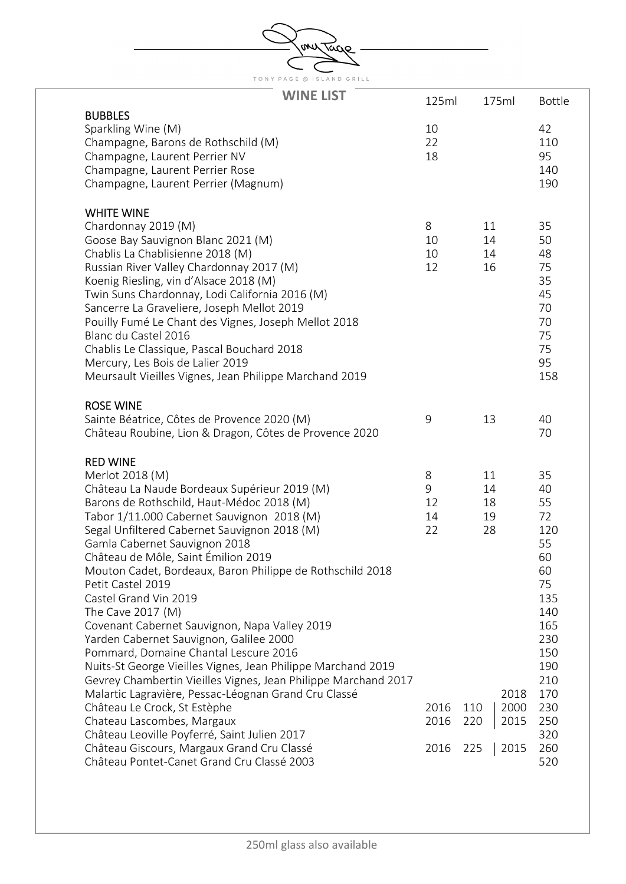| mv<br>vacro |                                                                                                                                                                                                                                                                                                                                                                                                                                                                                                                                                                                                                                                                                                                                                                                                                                                                                                               |                                                  |                                                                                 |                                                                                                                                         |  |  |  |
|-------------|---------------------------------------------------------------------------------------------------------------------------------------------------------------------------------------------------------------------------------------------------------------------------------------------------------------------------------------------------------------------------------------------------------------------------------------------------------------------------------------------------------------------------------------------------------------------------------------------------------------------------------------------------------------------------------------------------------------------------------------------------------------------------------------------------------------------------------------------------------------------------------------------------------------|--------------------------------------------------|---------------------------------------------------------------------------------|-----------------------------------------------------------------------------------------------------------------------------------------|--|--|--|
|             |                                                                                                                                                                                                                                                                                                                                                                                                                                                                                                                                                                                                                                                                                                                                                                                                                                                                                                               |                                                  |                                                                                 |                                                                                                                                         |  |  |  |
|             | TONY PAGE @ ISLAND GRILL                                                                                                                                                                                                                                                                                                                                                                                                                                                                                                                                                                                                                                                                                                                                                                                                                                                                                      |                                                  |                                                                                 |                                                                                                                                         |  |  |  |
|             | <b>WINE LIST</b>                                                                                                                                                                                                                                                                                                                                                                                                                                                                                                                                                                                                                                                                                                                                                                                                                                                                                              | 125ml                                            | 175ml                                                                           | <b>Bottle</b>                                                                                                                           |  |  |  |
|             | <b>BUBBLES</b>                                                                                                                                                                                                                                                                                                                                                                                                                                                                                                                                                                                                                                                                                                                                                                                                                                                                                                |                                                  |                                                                                 |                                                                                                                                         |  |  |  |
|             | Sparkling Wine (M)<br>Champagne, Barons de Rothschild (M)<br>Champagne, Laurent Perrier NV<br>Champagne, Laurent Perrier Rose<br>Champagne, Laurent Perrier (Magnum)                                                                                                                                                                                                                                                                                                                                                                                                                                                                                                                                                                                                                                                                                                                                          | 10<br>22<br>18                                   |                                                                                 | 42<br>110<br>95<br>140<br>190                                                                                                           |  |  |  |
|             | <b>WHITE WINE</b>                                                                                                                                                                                                                                                                                                                                                                                                                                                                                                                                                                                                                                                                                                                                                                                                                                                                                             |                                                  |                                                                                 |                                                                                                                                         |  |  |  |
|             | Chardonnay 2019 (M)<br>Goose Bay Sauvignon Blanc 2021 (M)<br>Chablis La Chablisienne 2018 (M)<br>Russian River Valley Chardonnay 2017 (M)<br>Koenig Riesling, vin d'Alsace 2018 (M)<br>Twin Suns Chardonnay, Lodi California 2016 (M)<br>Sancerre La Graveliere, Joseph Mellot 2019<br>Pouilly Fumé Le Chant des Vignes, Joseph Mellot 2018<br>Blanc du Castel 2016<br>Chablis Le Classique, Pascal Bouchard 2018<br>Mercury, Les Bois de Lalier 2019<br>Meursault Vieilles Vignes, Jean Philippe Marchand 2019                                                                                                                                                                                                                                                                                                                                                                                               | 8<br>10<br>10<br>12                              | 11<br>14<br>14<br>16                                                            | 35<br>50<br>48<br>75<br>35<br>45<br>70<br>70<br>75<br>75<br>95<br>158                                                                   |  |  |  |
|             | <b>ROSE WINE</b><br>Sainte Béatrice, Côtes de Provence 2020 (M)<br>Château Roubine, Lion & Dragon, Côtes de Provence 2020                                                                                                                                                                                                                                                                                                                                                                                                                                                                                                                                                                                                                                                                                                                                                                                     | 9                                                | 13                                                                              | 40<br>70                                                                                                                                |  |  |  |
|             | <b>RED WINE</b>                                                                                                                                                                                                                                                                                                                                                                                                                                                                                                                                                                                                                                                                                                                                                                                                                                                                                               |                                                  |                                                                                 |                                                                                                                                         |  |  |  |
|             | Merlot 2018 (M)<br>Château La Naude Bordeaux Supérieur 2019 (M)<br>Barons de Rothschild, Haut-Médoc 2018 (M)<br>Tabor 1/11.000 Cabernet Sauvignon 2018 (M)<br>Segal Unfiltered Cabernet Sauvignon 2018 (M)<br>Gamla Cabernet Sauvignon 2018<br>Château de Môle, Saint Émilion 2019<br>Mouton Cadet, Bordeaux, Baron Philippe de Rothschild 2018<br>Petit Castel 2019<br>Castel Grand Vin 2019<br>The Cave 2017 (M)<br>Covenant Cabernet Sauvignon, Napa Valley 2019<br>Yarden Cabernet Sauvignon, Galilee 2000<br>Pommard, Domaine Chantal Lescure 2016<br>Nuits-St George Vieilles Vignes, Jean Philippe Marchand 2019<br>Gevrey Chambertin Vieilles Vignes, Jean Philippe Marchand 2017<br>Malartic Lagravière, Pessac-Léognan Grand Cru Classé<br>Château Le Crock, St Estèphe<br>Chateau Lascombes, Margaux<br>Château Leoville Poyferré, Saint Julien 2017<br>Château Giscours, Margaux Grand Cru Classé | 8<br>9<br>12<br>14<br>22<br>2016<br>2016<br>2016 | 11<br>14<br>18<br>19<br>28<br>2018<br>110<br>2000<br>220<br>2015<br>2015<br>225 | 35<br>40<br>55<br>72<br>120<br>55<br>60<br>60<br>75<br>135<br>140<br>165<br>230<br>150<br>190<br>210<br>170<br>230<br>250<br>320<br>260 |  |  |  |
|             | Château Pontet-Canet Grand Cru Classé 2003                                                                                                                                                                                                                                                                                                                                                                                                                                                                                                                                                                                                                                                                                                                                                                                                                                                                    |                                                  |                                                                                 | 520                                                                                                                                     |  |  |  |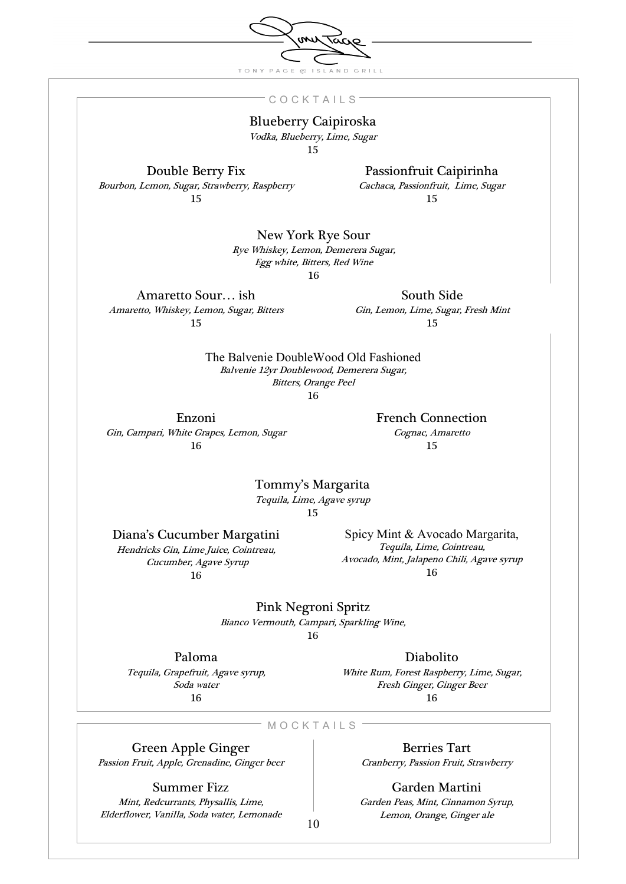TONY PAGE @ ISLAND GRILL

 $\omega$ 

᠊ᢦ᠗

## **C O C K T A I L S**

## Blueberry Caipiroska

Vodka, Blueberry, Lime, Sugar

15

Double Berry Fix

Passionfruit Caipirinha

Bourbon, Lemon, Sugar, Strawberry, Raspberry 15

Cachaca, Passionfruit, Lime, Sugar

15

New York Rye Sour

Rye Whiskey, Lemon, Demerera Sugar, Egg white, Bitters, Red Wine 16

Amaretto Sour… ish Amaretto, Whiskey, Lemon, Sugar, Bitters 15

South Side Gin, Lemon, Lime, Sugar, Fresh Mint

15

The Balvenie DoubleWood Old Fashioned Balvenie 12yr Doublewood, Demerera Sugar, Bitters, Orange Peel

16

Enzoni Gin, Campari, White Grapes, Lemon, Sugar 16

French Connection Cognac, Amaretto

15

Tommy's Margarita Tequila, Lime, Agave syrup

15

Diana's Cucumber Margatini Hendricks Gin, Lime Juice, Cointreau,

 Cucumber, Agave Syrup 16

Spicy Mint & Avocado Margarita, Tequila, Lime, Cointreau, Avocado, Mint, Jalapeno Chili, Agave syrup 16

Pink Negroni Spritz Bianco Vermouth, Campari, Sparkling Wine, 16

Paloma

Tequila, Grapefruit, Agave syrup, Soda water 16

Diabolito White Rum, Forest Raspberry, Lime, Sugar, Fresh Ginger, Ginger Beer 16

 $-M O C K T A I L S$ 

Green Apple Ginger

Passion Fruit, Apple, Grenadine, Ginger beer

Summer Fizz

Mint, Redcurrants, Physallis, Lime, Elderflower, Vanilla, Soda water, Lemonade

Berries Tart Cranberry, Passion Fruit, Strawberry

Garden Martini Garden Peas, Mint, Cinnamon Syrup, Lemon, Orange, Ginger ale

10